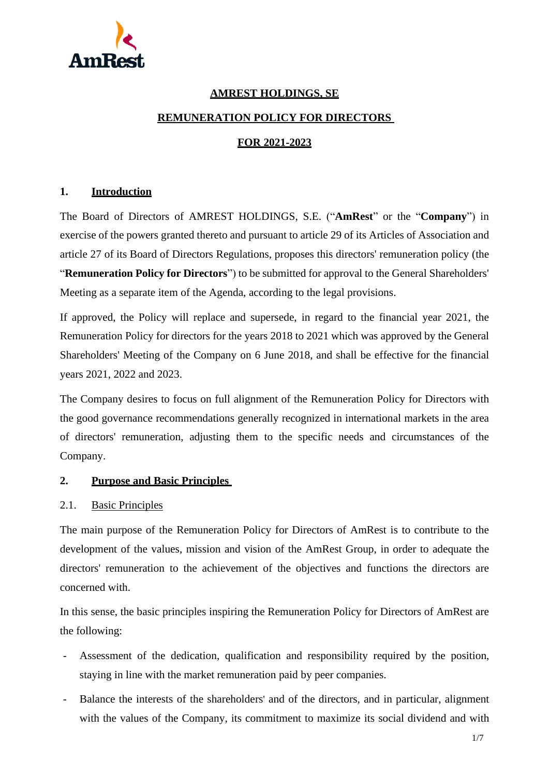

## **AMREST HOLDINGS, SE**

#### **REMUNERATION POLICY FOR DIRECTORS**

#### **FOR 2021-2023**

#### **1. Introduction**

The Board of Directors of AMREST HOLDINGS, S.E. ("**AmRest**" or the "**Company**") in exercise of the powers granted thereto and pursuant to article 29 of its Articles of Association and article 27 of its Board of Directors Regulations, proposes this directors' remuneration policy (the "**Remuneration Policy for Directors**") to be submitted for approval to the General Shareholders' Meeting as a separate item of the Agenda, according to the legal provisions.

If approved, the Policy will replace and supersede, in regard to the financial year 2021, the Remuneration Policy for directors for the years 2018 to 2021 which was approved by the General Shareholders' Meeting of the Company on 6 June 2018, and shall be effective for the financial years 2021, 2022 and 2023.

The Company desires to focus on full alignment of the Remuneration Policy for Directors with the good governance recommendations generally recognized in international markets in the area of directors' remuneration, adjusting them to the specific needs and circumstances of the Company.

#### **2. Purpose and Basic Principles**

#### 2.1. Basic Principles

The main purpose of the Remuneration Policy for Directors of AmRest is to contribute to the development of the values, mission and vision of the AmRest Group, in order to adequate the directors' remuneration to the achievement of the objectives and functions the directors are concerned with.

In this sense, the basic principles inspiring the Remuneration Policy for Directors of AmRest are the following:

- Assessment of the dedication, qualification and responsibility required by the position, staying in line with the market remuneration paid by peer companies.
- Balance the interests of the shareholders' and of the directors, and in particular, alignment with the values of the Company, its commitment to maximize its social dividend and with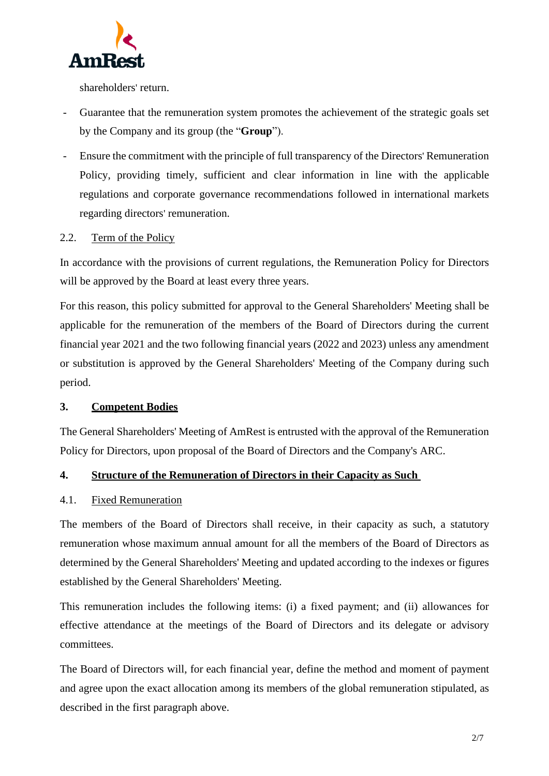

shareholders' return.

- Guarantee that the remuneration system promotes the achievement of the strategic goals set by the Company and its group (the "**Group**").
- Ensure the commitment with the principle of full transparency of the Directors' Remuneration Policy, providing timely, sufficient and clear information in line with the applicable regulations and corporate governance recommendations followed in international markets regarding directors' remuneration.

## 2.2. Term of the Policy

In accordance with the provisions of current regulations, the Remuneration Policy for Directors will be approved by the Board at least every three years.

For this reason, this policy submitted for approval to the General Shareholders' Meeting shall be applicable for the remuneration of the members of the Board of Directors during the current financial year 2021 and the two following financial years (2022 and 2023) unless any amendment or substitution is approved by the General Shareholders' Meeting of the Company during such period.

# **3. Competent Bodies**

The General Shareholders' Meeting of AmRest is entrusted with the approval of the Remuneration Policy for Directors, upon proposal of the Board of Directors and the Company's ARC.

## **4. Structure of the Remuneration of Directors in their Capacity as Such**

## 4.1. Fixed Remuneration

The members of the Board of Directors shall receive, in their capacity as such, a statutory remuneration whose maximum annual amount for all the members of the Board of Directors as determined by the General Shareholders' Meeting and updated according to the indexes or figures established by the General Shareholders' Meeting.

This remuneration includes the following items: (i) a fixed payment; and (ii) allowances for effective attendance at the meetings of the Board of Directors and its delegate or advisory committees.

The Board of Directors will, for each financial year, define the method and moment of payment and agree upon the exact allocation among its members of the global remuneration stipulated, as described in the first paragraph above.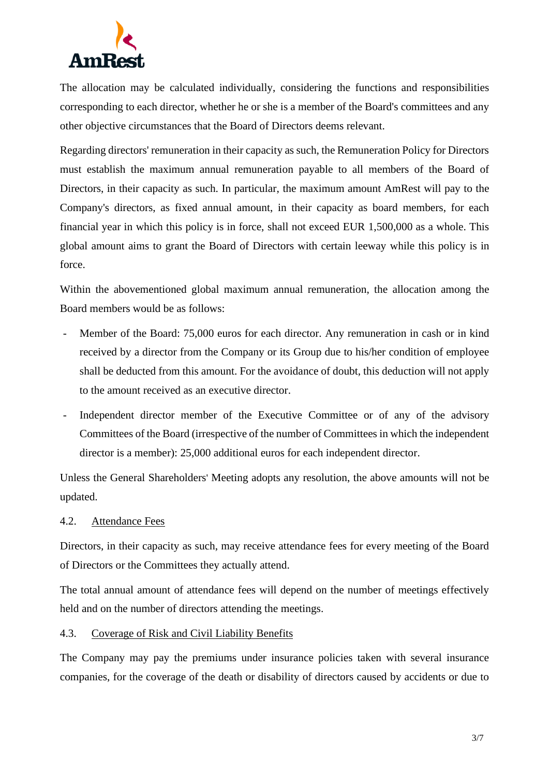

The allocation may be calculated individually, considering the functions and responsibilities corresponding to each director, whether he or she is a member of the Board's committees and any other objective circumstances that the Board of Directors deems relevant.

Regarding directors' remuneration in their capacity as such, the Remuneration Policy for Directors must establish the maximum annual remuneration payable to all members of the Board of Directors, in their capacity as such. In particular, the maximum amount AmRest will pay to the Company's directors, as fixed annual amount, in their capacity as board members, for each financial year in which this policy is in force, shall not exceed EUR 1,500,000 as a whole. This global amount aims to grant the Board of Directors with certain leeway while this policy is in force.

Within the abovementioned global maximum annual remuneration, the allocation among the Board members would be as follows:

- Member of the Board: 75,000 euros for each director. Any remuneration in cash or in kind received by a director from the Company or its Group due to his/her condition of employee shall be deducted from this amount. For the avoidance of doubt, this deduction will not apply to the amount received as an executive director.
- Independent director member of the Executive Committee or of any of the advisory Committees of the Board (irrespective of the number of Committees in which the independent director is a member): 25,000 additional euros for each independent director.

Unless the General Shareholders' Meeting adopts any resolution, the above amounts will not be updated.

## 4.2. Attendance Fees

Directors, in their capacity as such, may receive attendance fees for every meeting of the Board of Directors or the Committees they actually attend.

The total annual amount of attendance fees will depend on the number of meetings effectively held and on the number of directors attending the meetings.

#### 4.3. Coverage of Risk and Civil Liability Benefits

The Company may pay the premiums under insurance policies taken with several insurance companies, for the coverage of the death or disability of directors caused by accidents or due to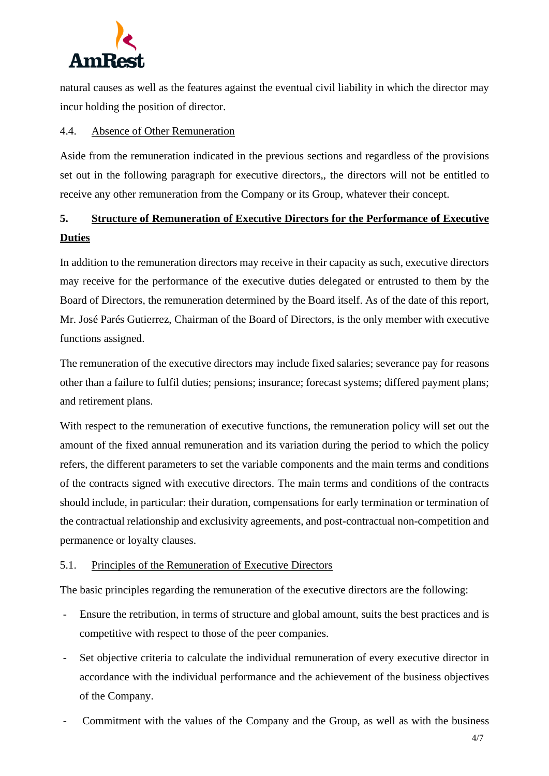

natural causes as well as the features against the eventual civil liability in which the director may incur holding the position of director.

#### 4.4. Absence of Other Remuneration

Aside from the remuneration indicated in the previous sections and regardless of the provisions set out in the following paragraph for executive directors,, the directors will not be entitled to receive any other remuneration from the Company or its Group, whatever their concept.

# **5. Structure of Remuneration of Executive Directors for the Performance of Executive Duties**

In addition to the remuneration directors may receive in their capacity as such, executive directors may receive for the performance of the executive duties delegated or entrusted to them by the Board of Directors, the remuneration determined by the Board itself. As of the date of this report, Mr. José Parés Gutierrez, Chairman of the Board of Directors, is the only member with executive functions assigned.

The remuneration of the executive directors may include fixed salaries; severance pay for reasons other than a failure to fulfil duties; pensions; insurance; forecast systems; differed payment plans; and retirement plans.

With respect to the remuneration of executive functions, the remuneration policy will set out the amount of the fixed annual remuneration and its variation during the period to which the policy refers, the different parameters to set the variable components and the main terms and conditions of the contracts signed with executive directors. The main terms and conditions of the contracts should include, in particular: their duration, compensations for early termination or termination of the contractual relationship and exclusivity agreements, and post-contractual non-competition and permanence or loyalty clauses.

## 5.1. Principles of the Remuneration of Executive Directors

The basic principles regarding the remuneration of the executive directors are the following:

- Ensure the retribution, in terms of structure and global amount, suits the best practices and is competitive with respect to those of the peer companies.
- Set objective criteria to calculate the individual remuneration of every executive director in accordance with the individual performance and the achievement of the business objectives of the Company.
- Commitment with the values of the Company and the Group, as well as with the business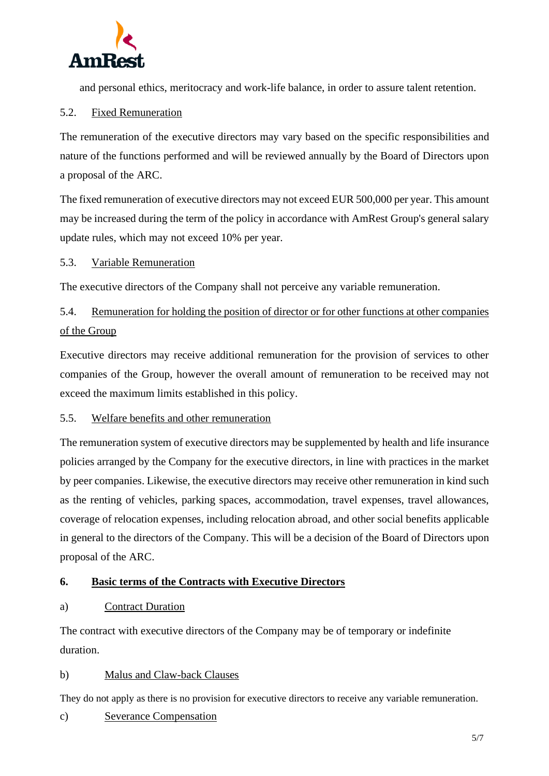

and personal ethics, meritocracy and work-life balance, in order to assure talent retention.

## 5.2. Fixed Remuneration

The remuneration of the executive directors may vary based on the specific responsibilities and nature of the functions performed and will be reviewed annually by the Board of Directors upon a proposal of the ARC.

The fixed remuneration of executive directors may not exceed EUR 500,000 per year. This amount may be increased during the term of the policy in accordance with AmRest Group's general salary update rules, which may not exceed 10% per year.

#### 5.3. Variable Remuneration

The executive directors of the Company shall not perceive any variable remuneration.

# 5.4. Remuneration for holding the position of director or for other functions at other companies of the Group

Executive directors may receive additional remuneration for the provision of services to other companies of the Group, however the overall amount of remuneration to be received may not exceed the maximum limits established in this policy.

## 5.5. Welfare benefits and other remuneration

The remuneration system of executive directors may be supplemented by health and life insurance policies arranged by the Company for the executive directors, in line with practices in the market by peer companies. Likewise, the executive directors may receive other remuneration in kind such as the renting of vehicles, parking spaces, accommodation, travel expenses, travel allowances, coverage of relocation expenses, including relocation abroad, and other social benefits applicable in general to the directors of the Company. This will be a decision of the Board of Directors upon proposal of the ARC.

## **6. Basic terms of the Contracts with Executive Directors**

## a) Contract Duration

The contract with executive directors of the Company may be of temporary or indefinite duration.

#### b) Malus and Claw-back Clauses

They do not apply as there is no provision for executive directors to receive any variable remuneration.

c) Severance Compensation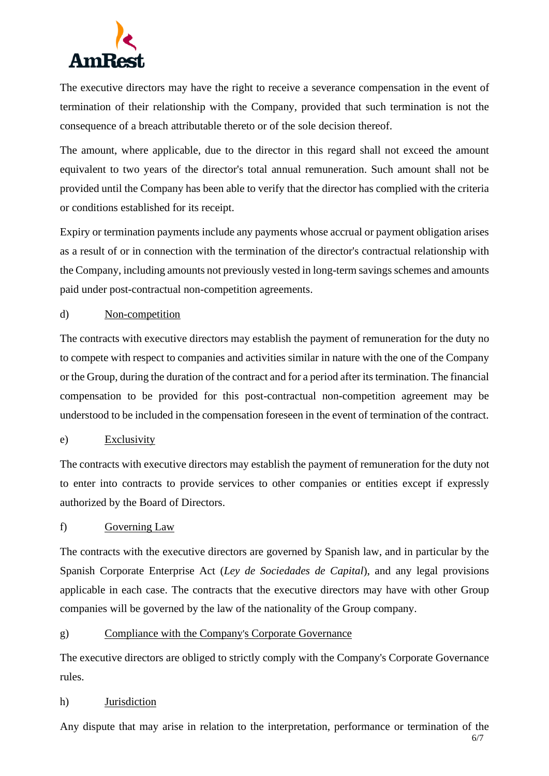

The executive directors may have the right to receive a severance compensation in the event of termination of their relationship with the Company, provided that such termination is not the consequence of a breach attributable thereto or of the sole decision thereof.

The amount, where applicable, due to the director in this regard shall not exceed the amount equivalent to two years of the director's total annual remuneration. Such amount shall not be provided until the Company has been able to verify that the director has complied with the criteria or conditions established for its receipt.

Expiry or termination payments include any payments whose accrual or payment obligation arises as a result of or in connection with the termination of the director's contractual relationship with the Company, including amounts not previously vested in long-term savings schemes and amounts paid under post-contractual non-competition agreements.

## d) Non-competition

The contracts with executive directors may establish the payment of remuneration for the duty no to compete with respect to companies and activities similar in nature with the one of the Company or the Group, during the duration of the contract and for a period after its termination. The financial compensation to be provided for this post-contractual non-competition agreement may be understood to be included in the compensation foreseen in the event of termination of the contract.

#### e) Exclusivity

The contracts with executive directors may establish the payment of remuneration for the duty not to enter into contracts to provide services to other companies or entities except if expressly authorized by the Board of Directors.

#### f) Governing Law

The contracts with the executive directors are governed by Spanish law, and in particular by the Spanish Corporate Enterprise Act (*Ley de Sociedades de Capital*), and any legal provisions applicable in each case. The contracts that the executive directors may have with other Group companies will be governed by the law of the nationality of the Group company.

## g) Compliance with the Company's Corporate Governance

The executive directors are obliged to strictly comply with the Company's Corporate Governance rules.

#### h) Jurisdiction

Any dispute that may arise in relation to the interpretation, performance or termination of the